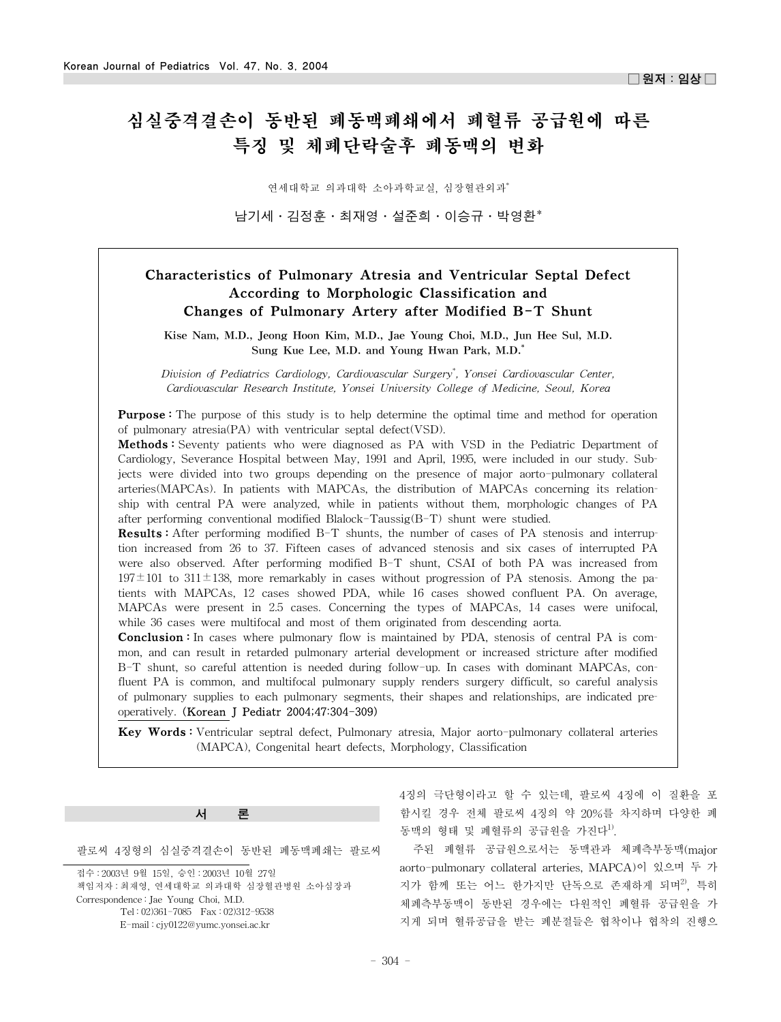# 심실중격결손이 동반된 폐동맥폐쇄에서 폐혈류 공급원에 따른 특징 및 체폐단락술후 폐동맥의 변화

연세대학교 의과대학 소아과학교실, 심장혈관외과\*

남기세·김정훈·최재영·설준희·이승규·박영환\*

## Characteristics of Pulmonary Atresia and Ventricular Septal Defect According to Morphologic Classification and Changes of Pulmonary Artery after Modified B-T Shunt

Kise Nam, M.D., Jeong Hoon Kim, M.D., Jae Young Choi, M.D., Jun Hee Sul, M.D. Sung Kue Lee, M.D. and Young Hwan Park, M.D.\*

*Division of Pediatrics Cardiology, Cardiovascular Surgery\* , Yonsei Cardiovascular Center, Cardiovascular Research Institute, Yonsei University College of Medicine, Seoul, Korea*

**Purpose**: The purpose of this study is to help determine the optimal time and method for operation of pulmonary atresia(PA) with ventricular septal defect(VSD).

**Methods**: Seventy patients who were diagnosed as PA with VSD in the Pediatric Department of Cardiology, Severance Hospital between May, 1991 and April, 1995, were included in our study. Subjects were divided into two groups depending on the presence of major aorto-pulmonary collateral arteries(MAPCAs). In patients with MAPCAs, the distribution of MAPCAs concerning its relationship with central PA were analyzed, while in patients without them, morphologic changes of PA after performing conventional modified Blalock-Taussig(B-T) shunt were studied.

Results : After performing modified B-T shunts, the number of cases of PA stenosis and interruption increased from 26 to 37. Fifteen cases of advanced stenosis and six cases of interrupted PA were also observed. After performing modified B-T shunt, CSAI of both PA was increased from  $197\pm101$  to  $311\pm138$ , more remarkably in cases without progression of PA stenosis. Among the patients with MAPCAs, 12 cases showed PDA, while 16 cases showed confluent PA. On average, MAPCAs were present in 2.5 cases. Concerning the types of MAPCAs, 14 cases were unifocal, while 36 cases were multifocal and most of them originated from descending aorta.

**Conclusion :** In cases where pulmonary flow is maintained by PDA, stenosis of central PA is common, and can result in retarded pulmonary arterial development or increased stricture after modified B-T shunt, so careful attention is needed during follow-up. In cases with dominant MAPCAs, confluent PA is common, and multifocal pulmonary supply renders surgery difficult, so careful analysis of pulmonary supplies to each pulmonary segments, their shapes and relationships, are indicated preoperatively. (Korean J Pediatr 2004;47:304-309)

Key Words : Ventricular septral defect, Pulmonary atresia, Major aorto-pulmonary collateral arteries (MAPCA), Congenital heart defects, Morphology, Classification

#### 서 론

팔로씨 4징형의 심실중격결손이 동반된 폐동맥폐쇄는 팔로씨

접수 : 2003년 9월 15일, 승인 : 2003년 10월 27일 책임저자 : 최재영, 연세대학교 의과대학 심장혈관병원 소아심장과 Correspondence : Jae Young Choi, M.D. Tel : 02)361-7085 Fax : 02)312-9538 E-mail : cjy0122@yumc.yonsei.ac.kr

4징의 극단형이라고 할 수 있는데, 팔로씨 4징에 이 질환을 포 함시킬 경우 전체 팔로씨 4징의 약 20%를 차지하며 다양한 폐 동맥의 형태 및 폐혈류의 공급원을 가진다<sup>1)</sup>.

주된 폐혈류 공급원으로서는 동맥관과 체폐측부동맥(major aorto-pulmonary collateral arteries, MAPCA)이 있으며 두 가 지가 함께 또는 어느 한가지만 단독으로 존재하게 되며<sup>2)</sup>, 특히 체폐측부동맥이 동반된 경우에는 다원적인 폐혈류 공급원을 가 지게 되며 혈류공급을 받는 폐분절들은 협착이나 협착의 진행으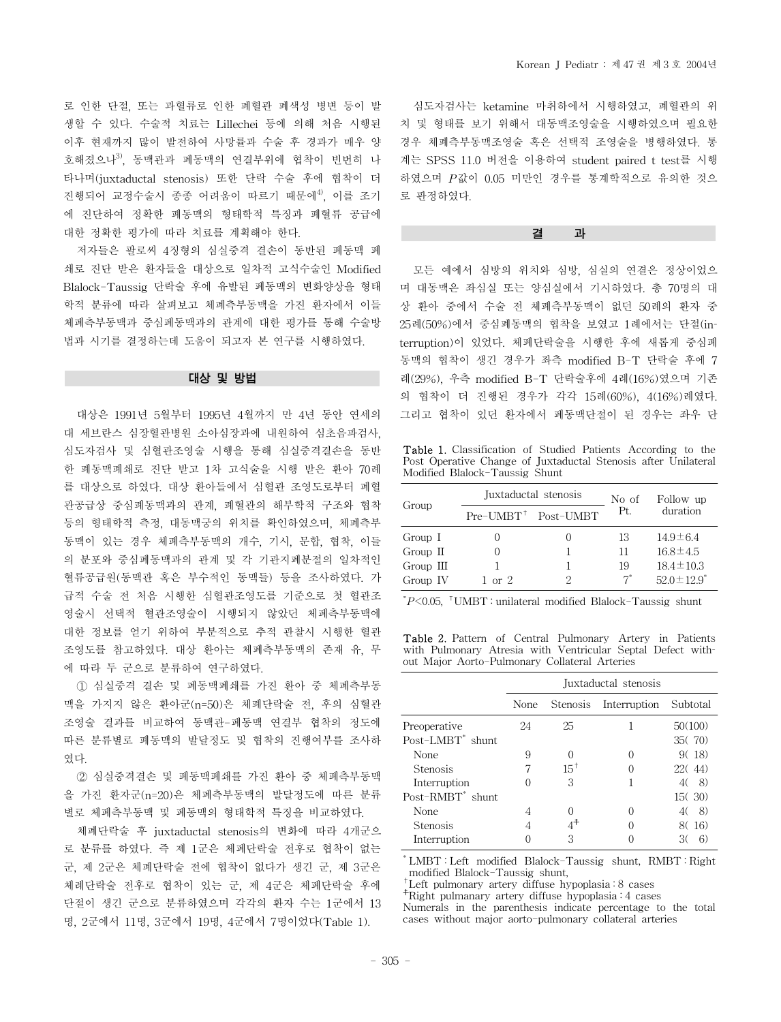로 인한 단절, 또는 과혈류로 인한 폐혈관 폐색성 병변 등이 발 생할 수 있다. 수술적 치료는 Lillechei 등에 의해 처음 시행된 이후 현재까지 많이 발전하여 사망률과 수술 후 경과가 매우 양 호해졌으나<sup>3)</sup>, 동맥관과 폐동맥의 연결부위에 협착이 빈번히 나 타나며(juxtaductal stenosis) 또한 단락 수술 후에 협착이 더 진행되어 교정수술시 종종 어려움이 따르기 때문에4), 이를 조기 에 진단하여 정확한 폐동맥의 형태학적 특징과 폐혈류 공급에 대한 정확한 평가에 따라 치료를 계획해야 한다.

저자들은 팔로씨 4징형의 심실중격 결손이 동반된 폐동맥 폐 쇄로 진단 받은 환자들을 대상으로 일차적 고식수술인 Modified Blalock-Taussig 단락술 후에 유발된 폐동맥의 변화양상을 형태 학적 분류에 따라 살펴보고 체폐측부동맥을 가진 환자에서 이들 체폐측부동맥과 중심폐동맥과의 관계에 대한 평가를 통해 수술방 법과 시기를 결정하는데 도움이 되고자 본 연구를 시행하였다.

#### 대상 및 방법

대상은 1991년 5월부터 1995년 4월까지 만 4년 동안 연세의 대 세브란스 심장혈관병원 소아심장과에 내원하여 심초음파검사, 심도자검사 및 심혈관조영술 시행을 통해 심실중격결손을 동반 한 폐동맥폐쇄로 진단 받고 1차 고식술을 시행 받은 환아 70례 를 대상으로 하였다. 대상 환아들에서 심혈관 조영도로부터 폐혈 관공급상 중심폐동맥과의 관계, 폐혈관의 해부학적 구조와 협착 등의 형태학적 측정, 대동맥궁의 위치를 확인하였으며, 체폐측부 동맥이 있는 경우 체폐측부동맥의 개수, 기시, 문합, 협착, 이들 의 분포와 중심폐동맥과의 관계 및 각 기관지폐분절의 일차적인 혈류공급원(동맥관 혹은 부수적인 동맥들) 등을 조사하였다. 가 급적 수술 전 처음 시행한 심혈관조영도를 기준으로 첫 혈관조 영술시 선택적 혈관조영술이 시행되지 않았던 체폐측부동맥에 대한 정보를 얻기 위하여 부분적으로 추적 관찰시 시행한 혈관 조영도를 참고하였다. 대상 환아는 체폐측부동맥의 존재 유, 무 에 따라 두 군으로 분류하여 연구하였다.

① 심실중격 결손 및 폐동맥폐쇄를 가진 환아 중 체폐측부동 맥을 가지지 않은 환아군(n=50)은 체폐단락술 전, 후의 심혈관 조영술 결과를 비교하여 동맥관-폐동맥 연결부 협착의 정도에 따른 분류별로 폐동맥의 발달정도 및 협착의 진행여부를 조사하 였다.

② 심실중격결손 및 폐동맥폐쇄를 가진 환아 중 체폐측부동맥 을 가진 환자군(n=20)은 체폐측부동맥의 발달정도에 따른 분류 별로 체폐측부동맥 및 폐동맥의 형태학적 특징을 비교하였다.

체폐단락술 후 juxtaductal stenosis의 변화에 따라 4개군으 로 분류를 하였다. 즉 제 1군은 체폐단락술 전후로 협착이 없는 군, 제 2군은 체폐단락술 전에 협착이 없다가 생긴 군, 제 3군은 체례단락술 전후로 협착이 있는 군, 제 4군은 체폐단락술 후에 단절이 생긴 군으로 분류하였으며 각각의 환자 수는 1군에서 13 명, 2군에서 11명, 3군에서 19명, 4군에서 7명이었다(Table 1).

심도자검사는 ketamine 마취하에서 시행하였고, 폐혈관의 위 치 및 형태를 보기 위해서 대동맥조영술을 시행하였으며 필요한 경우 체폐측부동맥조영술 혹은 선택적 조영술을 병행하였다. 통 계는 SPSS 11.0 버전을 이용하여 student paired t test를 시행 하였으며 *P*값이 0.05 미만인 경우를 통계학적으로 유의한 것으 로 판정하였다.

#### 결 과

모든 예에서 심방의 위치와 심방, 심실의 연결은 정상이었으 며 대동맥은 좌심실 또는 양심실에서 기시하였다. 총 70명의 대 상 환아 중에서 수술 전 체폐측부동맥이 없던 50례의 환자 중 25례(50%)에서 중심폐동맥의 협착을 보였고 1례에서는 단절(interruption)이 있었다. 체폐단락술을 시행한 후에 새롭게 중심폐 동맥의 협착이 생긴 경우가 좌측 modified B-T 단락술 후에 7 례(29%), 우측 modified B-T 단락술후에 4례(16%)였으며 기존 의 협착이 더 진행된 경우가 각각 15례(60%), 4(16%)례였다. 그리고 협착이 있던 환자에서 폐동맥단절이 된 경우는 좌우 단

Table 1. Classification of Studied Patients According to the Post Operative Change of Juxtaductal Stenosis after Unilateral Modified Blalock-Taussig Shunt

|           |                                | Juxtaductal stenosis | No of | Follow up         |
|-----------|--------------------------------|----------------------|-------|-------------------|
| Group     | $Pre-UMBT^{\dagger}$ Post-UMBT |                      | Pt.   | duration          |
| Group I   |                                |                      | 13    | $14.9 \pm 6.4$    |
| Group II  |                                |                      | 11    | $16.8 \pm 4.5$    |
| Group III |                                |                      | 19    | $18.4 \pm 10.3$   |
| Group IV  | $1 \text{ or } 2$              | 2                    | $7^*$ | $52.0 \pm 12.9^*$ |

\* *P*<0.05, †UMBT : unilateral modified Blalock-Taussig shunt

Table 2. Pattern of Central Pulmonary Artery in Patients with Pulmonary Atresia with Ventricular Septal Defect without Major Aorto-Pulmonary Collateral Arteries

|                              | Juxtaductal stenosis |          |              |          |  |
|------------------------------|----------------------|----------|--------------|----------|--|
|                              | None                 | Stenosis | Interruption | Subtotal |  |
| Preoperative                 | 24                   | 25       |              | 50(100)  |  |
| Post-LMBT <sup>*</sup> shunt |                      |          |              | 35(70)   |  |
| None                         | 9                    |          |              | 9(18)    |  |
| <b>Stenosis</b>              |                      | $15^{+}$ |              | 22(44)   |  |
| Interruption                 |                      | 3        |              | 8)<br>40 |  |
| Post-RMBT <sup>*</sup> shunt |                      |          |              | 15(30)   |  |
| None                         |                      |          |              | 8)<br>40 |  |
| <b>Stenosis</b>              |                      |          |              | 8(16)    |  |
| Interruption                 |                      | 3        |              |          |  |

\* LMBT : Left modified Blalock-Taussig shunt, RMBT : Right modified Blalock-Taussig shunt,

†Left pulmonary artery diffuse hypoplasia : 8 cases

☨Right pulmanary artery diffuse hypoplasia : 4 cases

Numerals in the parenthesis indicate percentage to the total cases without major aorto-pulmonary collateral arteries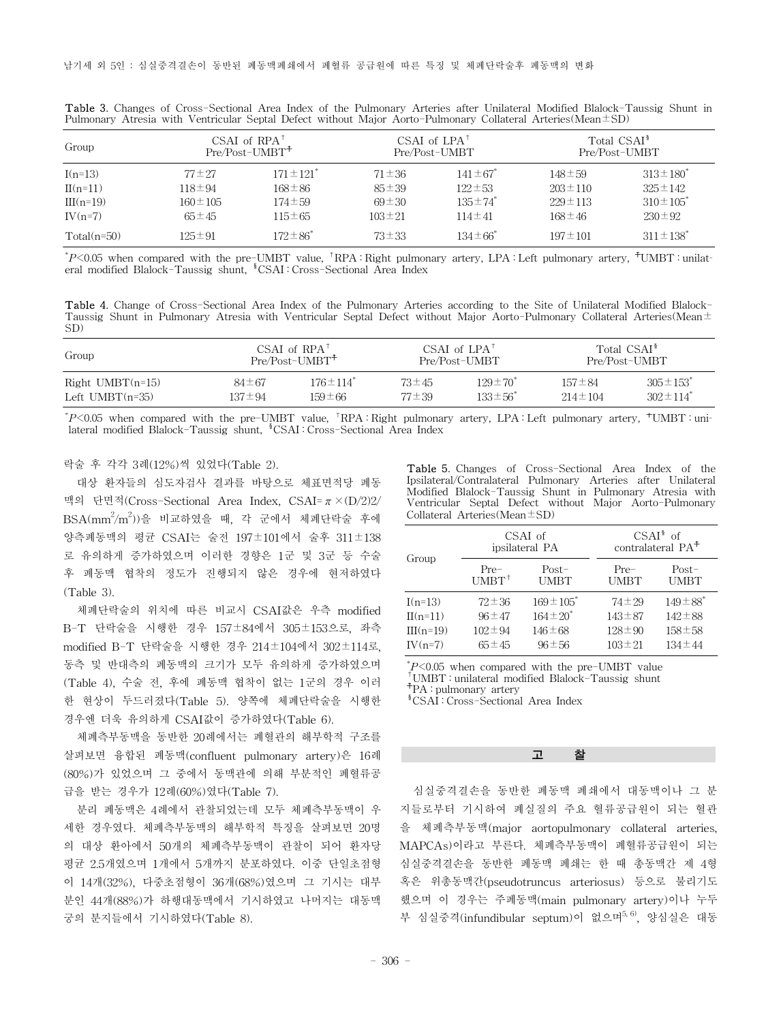| Group         |               | $CSAI$ of $RPA†$<br>Pre/Post-UMBT <sup>+</sup> |              | CSAI of $LPA†$<br>Pre/Post-UMBT |               | Total CSAI <sup>§</sup><br>Pre/Post-UMBT |
|---------------|---------------|------------------------------------------------|--------------|---------------------------------|---------------|------------------------------------------|
| $I(n=13)$     | $77 \pm 27$   | $171 \pm 121$ <sup>*</sup>                     | $71 \pm 36$  | $141 \pm 67$                    | $148 \pm 59$  | $313 \pm 180^*$                          |
| $II(n=11)$    | $118 \pm 94$  | $168 \pm 86$                                   | $85 \pm 39$  | $122 \pm 53$                    | $203 \pm 110$ | $325 \pm 142$                            |
| $III(n=19)$   | $160 \pm 105$ | $174 \pm 59$                                   | $69 \pm 30$  | $135 \pm 74$                    | $229 \pm 113$ | $310 \pm 105^*$                          |
| $IV(n=7)$     | $65 \pm 45$   | $115 \pm 65$                                   | $103 \pm 21$ | $114 \pm 41$                    | $168 \pm 46$  | $230 \pm 92$                             |
| $Total(n=50)$ | $125 \pm 91$  | $172 \pm 86^*$                                 | $73 \pm 33$  | $134 \pm 66^*$                  | $197 \pm 101$ | $311 \pm 138$                            |

Table 3. Changes of Cross-Sectional Area Index of the Pulmonary Arteries after Unilateral Modified Blalock-Taussig Shunt in Pulmonary Atresia with Ventricular Septal Defect without Major Aorto-Pulmonary Collateral Arteries(Mean±SD)

*\*P*<0.05 when compared with the pre-UMBT value, <sup>†</sup>RPA : Right pulmonary artery, LPA : Left pulmonary artery, <sup>†</sup>UMBT : unilateral modified Blalock-Taussig shunt, <sup>§</sup>CSAI : Cross-Sectional Area Index

Table 4. Change of Cross-Sectional Area Index of the Pulmonary Arteries according to the Site of Unilateral Modified Blalock-Taussig Shunt in Pulmonary Atresia with Ventricular Septal Defect without Major Aorto-Pulmonary Collateral Arteries(Mean $\pm$ SD)

| Group                 |             | $CSAI$ of $RPA^{\dagger}$<br>$Pre/Post-UMBT^+$ |             | CSAI of $LPA^{\dagger}$<br>Pre/Post-UMBT |               | Total CSAI <sup>§</sup><br>Pre/Post-UMBT |
|-----------------------|-------------|------------------------------------------------|-------------|------------------------------------------|---------------|------------------------------------------|
| $Right$ UMBT $(n=15)$ | $84 \pm 67$ | $176 \pm 114$ <sup>*</sup>                     | $73 \pm 45$ | $129 \pm 70^{\circ}$                     | $157 \pm 84$  | $305 \pm 153$ <sup>*</sup>               |
| Left $UMBT(n=35)$     | 137±94      | 159±66                                         | $77 \pm 39$ | $133 \pm 56^*$                           | $214 \pm 104$ | $302 \pm 114$ <sup>*</sup>               |

\* *P*<0.05 when compared with the pre-UMBT value, †RPA : Right pulmonary artery, LPA : Left pulmonary artery, ☨UMBT : unilateral modified Blalock-Taussig shunt, <sup>§</sup>CSAI : Cross-Sectional Area Index

락술 후 각각 3례(12%)씩 있었다(Table 2).

대상 환자들의 심도자검사 결과를 바탕으로 체표면적당 폐동 맥의 단면적(Cross-Sectional Area Index, CSAI= $\pi \times (D/2)2$ /  $\mathrm{BSA}( \mathrm{mm}^2\mathrm{/m}^2)$ )을 비교하였을 때, 각 군에서 체폐단락술 후에 양측폐동맥의 평균 CSAI는 술전 197±101에서 술후 311±138 로 유의하게 증가하였으며 이러한 경향은 1군 및 3군 등 수술 후 폐동맥 협착의 정도가 진행되지 않은 경우에 현저하였다 (Table 3).

체폐단락술의 위치에 따른 비교시 CSAI값은 우측 modified B-T 단락술을 시행한 경우 157±84에서 305±153으로, 좌측 modified B-T 단락술을 시행한 경우 214±104에서 302±114로, 동측 및 반대측의 폐동맥의 크기가 모두 유의하게 증가하였으며 (Table 4), 수술 전, 후에 폐동맥 협착이 없는 1군의 경우 이러 한 현상이 두드러졌다(Table 5). 양쪽에 체폐단락술을 시행한 경우엔 더욱 유의하게 CSAI값이 증가하였다(Table 6).

체폐측부동맥을 동반한 20례에서는 폐혈관의 해부학적 구조를 살펴보면 융합된 폐동맥(confluent pulmonary artery)은 16례 (80%)가 있었으며 그 중에서 동맥관에 의해 부분적인 폐혈류공 급을 받는 경우가 12례(60%)였다(Table 7).

분리 폐동맥은 4례에서 관찰되었는데 모두 체폐측부동맥이 우 세한 경우였다. 체폐측부동맥의 해부학적 특징을 살펴보면 20명 의 대상 환아에서 50개의 체폐측부동맥이 관찰이 되어 환자당 평균 2.5개였으며 1개에서 5개까지 분포하였다. 이중 단일초점형 이 14개(32%), 다중초점형이 36개(68%)였으며 그 기시는 대부 분인 44개(88%)가 하행대동맥에서 기시하였고 나머지는 대동맥 궁의 분지들에서 기시하였다(Table 8).

Table 5. Changes of Cross-Sectional Area Index of the Ipsilateral/Contralateral Pulmonary Arteries after Unilateral Modified Blalock-Taussig Shunt in Pulmonary Atresia with Ventricular Septal Defect without Major Aorto-Pulmonary Collateral Arteries(Mean±SD)

|             |                  | CSAI of<br>ipsilateral PA | $CSAI^{\$}$ of<br>contralateral PA <sup>+</sup> |                           |  |
|-------------|------------------|---------------------------|-------------------------------------------------|---------------------------|--|
| Group       | Pre-             | $Post-$                   | $Pre-$                                          | $Post-$                   |  |
|             | $UMBT^{\dagger}$ | UMBT                      | UMBT                                            | <b>UMBT</b>               |  |
| $I(n=13)$   | $72 \pm 36$      | $169 \pm 105$             | $74 \pm 29$                                     | $149 \pm 88$ <sup>*</sup> |  |
| $II(n=11)$  | $96 \pm 47$      | $164 \pm 20^*$            | $143 \pm 87$                                    | $142 \pm 88$              |  |
| $III(n=19)$ | $102 \pm 94$     | $146 \pm 68$              | $128 \pm 90$                                    | $158 \pm 58$              |  |
| $IV(n=7)$   | $65 \pm 45$      | $96 \pm 56$               | $103 \pm 21$                                    | $134 \pm 44$              |  |

 $P<0.05$  when compared with the pre-UMBT value

<sup>†</sup>UMBT : unilateral modified Blalock-Taussig shunt

☨PA : pulmonary artery

§CSAI : Cross-Sectional Area Index

### 고 찰

심실중격결손을 동반한 폐동맥 폐쇄에서 대동맥이나 그 분 지들로부터 기시하여 폐실질의 주요 혈류공급원이 되는 혈관 을 체폐측부동맥(major aortopulmonary collateral arteries, MAPCAs)이라고 부른다. 체폐측부동맥이 폐혈류공급원이 되는 심실중격결손을 동반한 폐동맥 폐쇄는 한 때 총동맥간 제 4형 혹은 위총동맥간(pseudotruncus arteriosus) 등으로 불리기도 했으며 이 경우는 주폐동맥(main pulmonary artery)이나 누두 부 심실중격(infundibular septum)이 없으며<sup>5,6)</sup>, 양심실은 대동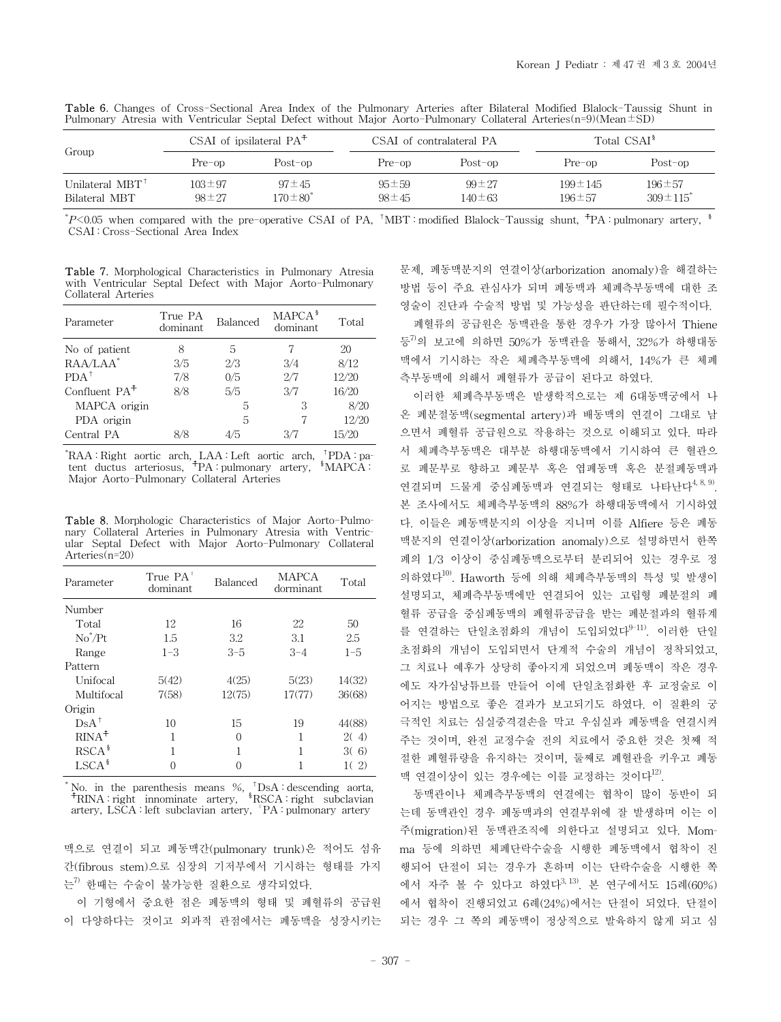|                                             |                             | $CSAI$ of ipsilateral $PA+$   | CSAI of contralateral PA   |                             | Total CSAI <sup>§</sup>       |                                            |
|---------------------------------------------|-----------------------------|-------------------------------|----------------------------|-----------------------------|-------------------------------|--------------------------------------------|
| Group                                       | Pre-op                      | Post-op                       | Pre-op                     | Post-op                     | Pre-op                        | Post-op                                    |
| Unilateral $MBT^{\dagger}$<br>Bilateral MBT | $103 \pm 97$<br>$98 \pm 27$ | $97 \pm 45$<br>$170 \pm 80^*$ | $95 \pm 59$<br>$98 \pm 45$ | $99 \pm 27$<br>$140 \pm 63$ | $199 \pm 145$<br>$196 \pm 57$ | $196 \pm 57$<br>$309 \pm 115$ <sup>*</sup> |

Table 6. Changes of Cross-Sectional Area Index of the Pulmonary Arteries after Bilateral Modified Blalock-Taussig Shunt in Pulmonary Atresia with Ventricular Septal Defect without Major Aorto-Pulmonary Collateral Arteries(n=9)(Mean±SD)

*\*P*<0.05 when compared with the pre-operative CSAI of PA, <sup>†</sup>MBT : modified Blalock-Taussig shunt, <sup>†</sup>PA : pulmonary artery, <sup>§</sup> CSAI : Cross-Sectional Area Index

Table 7. Morphological Characteristics in Pulmonary Atresia with Ventricular Septal Defect with Major Aorto-Pulmonary Collateral Arteries

| Parameter       | True PA<br>dominant | Balanced | MAPCA <sup>§</sup><br>dominant | Total |
|-----------------|---------------------|----------|--------------------------------|-------|
| No of patient   | 8                   | 5        |                                | 20    |
| $RAA/LAA^*$     | 3/5                 | 2/3      | 3/4                            | 8/12  |
| $PDA^+$         | 7/8                 | 0/5      | 2/7                            | 12/20 |
| Confluent $PA+$ | 8/8                 | 5/5      | 3/7                            | 16/20 |
| MAPCA origin    |                     | 5        | 3                              | 8/20  |
| PDA origin      |                     | 5        |                                | 12/20 |
| Central PA      | 8/8                 | 4/5      | 3/7                            | 15/20 |

\* RAA : Right aortic arch, LAA : Left aortic arch, †PDA : patent ductus arteriosus, ☨PA : pulmonary artery, §MAPCA : Major Aorto-Pulmonary Collateral Arteries

Table 8. Morphologic Characteristics of Major Aorto-Pulmonary Collateral Arteries in Pulmonary Atresia with Ventricular Septal Defect with Major Aorto-Pulmonary Collateral Arteries<sup>(n=20)</sup>

| Parameter         | True PA <sup>"</sup><br>dominant | Balanced | MAPCA<br>dorminant | Total   |
|-------------------|----------------------------------|----------|--------------------|---------|
| Number            |                                  |          |                    |         |
| Total             | 12                               | 16       | 22                 | 50      |
| $No^*/Pt$         | 1.5                              | 3.2      | 3.1                | 2.5     |
| Range             | $1 - 3$                          | $3 - 5$  | $3 - 4$            | $1 - 5$ |
| Pattern           |                                  |          |                    |         |
| Unifocal          | 5(42)                            | 4(25)    | 5(23)              | 14(32)  |
| Multifocal        | 7(58)                            | 12(75)   | 17(77)             | 36(68)  |
| Origin            |                                  |          |                    |         |
| $DsA^{\dagger}$   | 10                               | 15       | 19                 | 44(88)  |
| $RINA^+$          | 1                                | 0        | 1                  | 2(4)    |
| RSCA <sup>§</sup> |                                  |          |                    | 3(6)    |
| $LSCA^s$          |                                  |          |                    | 2)      |

No. in the parenthesis means %, <sup>†</sup>DsA : descending aorta, <sup>†</sup>RINA : right innominate artery, <sup>§</sup>RSCA : right subclavian artery, LSCA : left subclavian artery, ∥PA : pulmonary artery

맥으로 연결이 되고 폐동맥간(pulmonary trunk)은 적어도 섬유 간(fibrous stem)으로 심장의 기저부에서 기시하는 형태를 가지 는7) 한때는 수술이 불가능한 질환으로 생각되었다.

이 기형에서 중요한 점은 폐동맥의 형태 및 폐혈류의 공급원 이 다양하다는 것이고 외과적 관점에서는 폐동맥을 성장시키는 문제, 폐동맥분지의 연결이상(arborization anomaly)을 해결하는 방법 등이 주요 관심사가 되며 폐동맥과 체폐측부동맥에 대한 조 영술이 진단과 수술적 방법 및 가능성을 판단하는데 필수적이다.

폐혈류의 공급원은 동맥관을 통한 경우가 가장 많아서 Thiene 등 $^{7)}$ 의 보고에 의하면 50%가 동맥관을 통해서, 32%가 하행대동 맥에서 기시하는 작은 체폐측부동맥에 의해서, 14%가 큰 체폐 측부동맥에 의해서 폐혈류가 공급이 된다고 하였다.

이러한 체폐측부동맥은 발생학적으로는 제 6대동맥궁에서 나 온 폐분절동맥(segmental artery)과 배동맥의 연결이 그대로 남 으면서 폐혈류 공급원으로 작용하는 것으로 이해되고 있다. 따라 서 체폐측부동맥은 대부분 하행대동맥에서 기시하여 큰 혈관으 로 폐문부로 향하고 폐문부 혹은 엽폐동맥 혹은 분절폐동맥과 연결되며 드물게 중심폐동맥과 연결되는 형태로 나타난다<sup>4, 8, 9)</sup>. 본 조사에서도 체폐측부동맥의 88%가 하행대동맥에서 기시하였 다. 이들은 폐동맥분지의 이상을 지니며 이를 Alfiere 등은 폐동 맥분지의 연결이상(arborization anomaly)으로 설명하면서 한쪽 폐의 1/3 이상이 중심폐동맥으로부터 분리되어 있는 경우로 정 의하였다10). Haworth 등에 의해 체폐측부동맥의 특성 및 발생이 설명되고, 체폐측부동맥에만 연결되어 있는 고립형 폐분절의 폐 혈류 공급을 중심폐동맥의 폐혈류공급을 받는 폐분절과의 혈류계 를 연결하는 단일초점화의 개념이 도입되었다<sup>9-11)</sup>. 이러한 단일 초점화의 개념이 도입되면서 단계적 수술의 개념이 정착되었고, 그 치료나 예후가 상당히 좋아지게 되었으며 폐동맥이 작은 경우 에도 자가심낭튜브를 만들어 이에 단일초점화한 후 교정술로 이 어지는 방법으로 좋은 결과가 보고되기도 하였다. 이 질환의 궁 극적인 치료는 심실중격결손을 막고 우심실과 폐동맥을 연결시켜 주는 것이며, 완전 교정수술 전의 치료에서 중요한 것은 첫째 적 절한 폐혈류량을 유지하는 것이며, 둘째로 폐혈관을 키우고 폐동 맥 연결이상이 있는 경우에는 이를 교정하는 것이다<sup>12)</sup>.

동맥관이나 체폐측부동맥의 연결에는 협착이 많이 동반이 되 는데 동맥관인 경우 폐동맥과의 연결부위에 잘 발생하며 이는 이 주(migration)된 동맥관조직에 의한다고 설명되고 있다. Momma 등에 의하면 체폐단락수술을 시행한 폐동맥에서 협착이 진 행되어 단절이 되는 경우가 흔하며 이는 단락수술을 시행한 쪽 에서 자주 볼 수 있다고 하였다3, 13). 본 연구에서도 15례(60%) 에서 협착이 진행되었고 6례(24%)에서는 단절이 되었다. 단절이 되는 경우 그 쪽의 폐동맥이 정상적으로 발육하지 않게 되고 심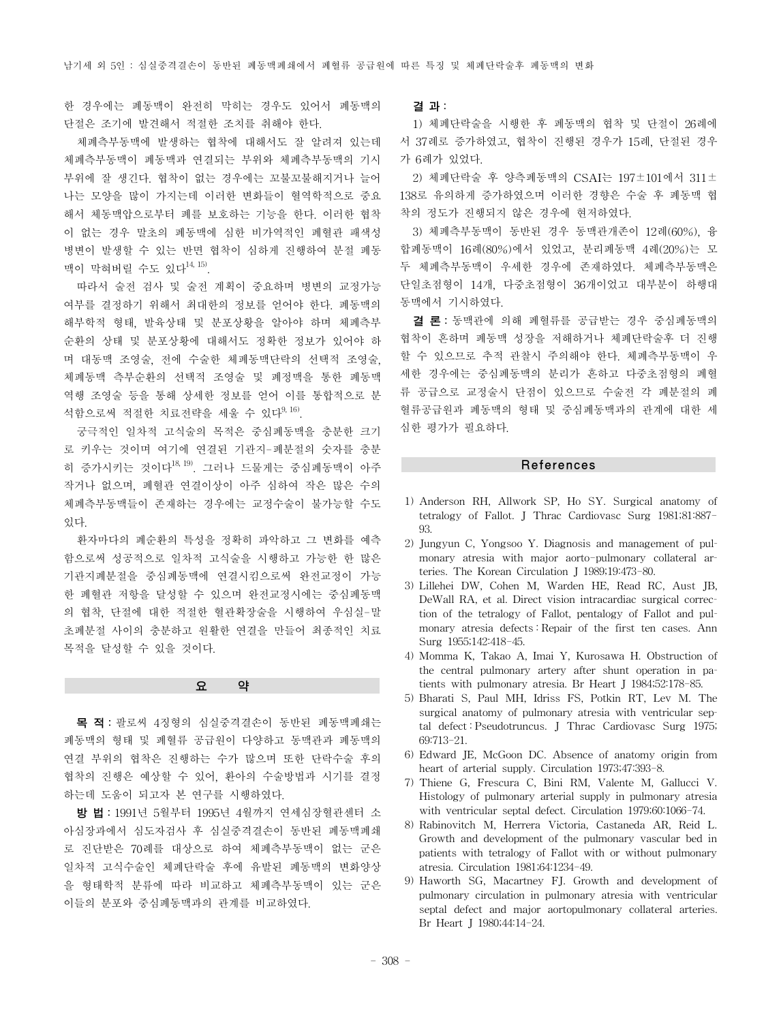한 경우에는 폐동맥이 완전히 막히는 경우도 있어서 폐동맥의 단절은 조기에 발견해서 적절한 조치를 취해야 한다.

체폐측부동맥에 발생하는 협착에 대해서도 잘 알려져 있는데 체폐측부동맥이 폐동맥과 연결되는 부위와 체폐측부동맥의 기시 부위에 잘 생긴다. 협착이 없는 경우에는 꼬불꼬불해지거나 늘어 나는 모양을 많이 가지는데 이러한 변화들이 혈역학적으로 중요 해서 체동맥압으로부터 폐를 보호하는 기능을 한다. 이러한 협착 이 없는 경우 말초의 폐동맥에 심한 비가역적인 폐혈관 패색성 병변이 발생할 수 있는 반면 협착이 심하게 진행하여 분절 폐동 맥이 막혀버릴 수도 있다14, 15).

따라서 술전 검사 및 술전 계획이 중요하며 병변의 교정가능 여부를 결정하기 위해서 최대한의 정보를 얻어야 한다. 폐동맥의 해부학적 형태, 발육상태 및 분포상황을 알아야 하며 체폐측부 순환의 상태 및 분포상황에 대해서도 정확한 정보가 있어야 하 며 대동맥 조영술, 전에 수술한 체폐동맥단락의 선택적 조영술, 체폐동맥 측부순환의 선택적 조영술 및 폐정맥을 통한 폐동맥 역행 조영술 등을 통해 상세한 정보를 얻어 이를 통합적으로 분 석함으로써 적절한 치료전략을 세울 수 있다<sup>9, 16)</sup>.

궁극적인 일차적 고식술의 목적은 중심폐동맥을 충분한 크기 로 키우는 것이며 여기에 연결된 기관지-폐분절의 숫자를 충분 히 증가시키는 것이다<sup>18, 19)</sup>. 그러나 드물게는 중심폐동맥이 아주 작거나 없으며, 폐혈관 연결이상이 아주 심하여 작은 많은 수의 체폐측부동맥들이 존재하는 경우에는 교정수술이 불가능할 수도 있다.

환자마다의 폐순환의 특성을 정확히 파악하고 그 변화를 예측 함으로써 성공적으로 일차적 고식술을 시행하고 가능한 한 많은 기관지폐분절을 중심폐동맥에 연결시킴으로써 완전교정이 가능 한 폐혈관 저항을 달성할 수 있으며 완전교정시에는 중심폐동맥 의 협착, 단절에 대한 적절한 혈관확장술을 시행하여 우심실-말 초폐분절 사이의 충분하고 원활한 연결을 만들어 최종적인 치료 목적을 달성할 수 있을 것이다.

요 약

목 적: 팔로씨 4징형의 심실중격결손이 동반된 폐동맥폐쇄는 폐동맥의 형태 및 폐혈류 공급원이 다양하고 동맥관과 폐동맥의 연결 부위의 협착은 진행하는 수가 많으며 또한 단락수술 후의 협착의 진행은 예상할 수 있어, 환아의 수술방법과 시기를 결정 하는데 도움이 되고자 본 연구를 시행하였다.

방 법: 1991년 5월부터 1995년 4월까지 연세심장혈관센터 소 아심장과에서 심도자검사 후 심실중격결손이 동반된 폐동맥폐쇄 로 진단받은 70례를 대상으로 하여 체폐측부동맥이 없는 군은 일차적 고식수술인 체폐단락술 후에 유발된 폐동맥의 변화양상 을 형태학적 분류에 따라 비교하고 체폐측부동맥이 있는 군은 이들의 분포와 중심폐동맥과의 관계를 비교하였다.

결 과:

1) 체폐단락술을 시행한 후 폐동맥의 협착 및 단절이 26례에 서 37례로 증가하였고, 협착이 진행된 경우가 15례, 단절된 경우 가 6례가 있었다.

2) 체폐단락술 후 양측폐동맥의 CSAI는 197±101에서 311± 138로 유의하게 증가하였으며 이러한 경향은 수술 후 폐동맥 협 착의 정도가 진행되지 않은 경우에 현저하였다.

3) 체폐측부동맥이 동반된 경우 동맥관개존이 12례(60%), 융 합폐동맥이 16례(80%)에서 있었고, 분리폐동맥 4례(20%)는 모 두 체폐측부동맥이 우세한 경우에 존재하였다. 체폐측부동맥은 단일초점형이 14개, 다중초점형이 36개이었고 대부분이 하행대 동맥에서 기시하였다.

결 론: 동맥관에 의해 폐혈류를 공급받는 경우 중심폐동맥의 협착이 흔하며 폐동맥 성장을 저해하거나 체폐단락술후 더 진행 할 수 있으므로 추적 관찰시 주의해야 한다. 체폐측부동맥이 우 세한 경우에는 중심폐동맥의 분리가 흔하고 다중초점형의 폐혈 류 공급으로 교정술시 단점이 있으므로 수술전 각 폐분절의 폐 혈류공급원과 폐동맥의 형태 및 중심폐동맥과의 관계에 대한 세 심한 평가가 필요하다.

#### References

- 1) Anderson RH, Allwork SP, Ho SY. Surgical anatomy of tetralogy of Fallot. J Thrac Cardiovasc Surg 1981;81:887-  $Q<sub>3</sub>$
- 2) Jungyun C, Yongsoo Y. Diagnosis and management of pulmonary atresia with major aorto-pulmonary collateral arteries. The Korean Circulation J 1989;19:473-80.
- 3) Lillehei DW, Cohen M, Warden HE, Read RC, Aust JB, DeWall RA, et al. Direct vision intracardiac surgical correction of the tetralogy of Fallot, pentalogy of Fallot and pulmonary atresia defects : Repair of the first ten cases. Ann Surg 1955;142:418-45.
- 4) Momma K, Takao A, Imai Y, Kurosawa H. Obstruction of the central pulmonary artery after shunt operation in patients with pulmonary atresia. Br Heart J 1984;52:178-85.
- 5) Bharati S, Paul MH, Idriss FS, Potkin RT, Lev M. The surgical anatomy of pulmonary atresia with ventricular septal defect : Pseudotruncus. J Thrac Cardiovasc Surg 1975; 69:713-21.
- 6) Edward JE, McGoon DC. Absence of anatomy origin from heart of arterial supply. Circulation 1973;47:393-8.
- 7) Thiene G, Frescura C, Bini RM, Valente M, Gallucci V. Histology of pulmonary arterial supply in pulmonary atresia with ventricular septal defect. Circulation 1979;60:1066-74.
- 8) Rabinovitch M, Herrera Victoria, Castaneda AR, Reid L. Growth and development of the pulmonary vascular bed in patients with tetralogy of Fallot with or without pulmonary atresia. Circulation 1981;64:1234-49.
- 9) Haworth SG, Macartney FJ. Growth and development of pulmonary circulation in pulmonary atresia with ventricular septal defect and major aortopulmonary collateral arteries. Br Heart J 1980;44:14-24.